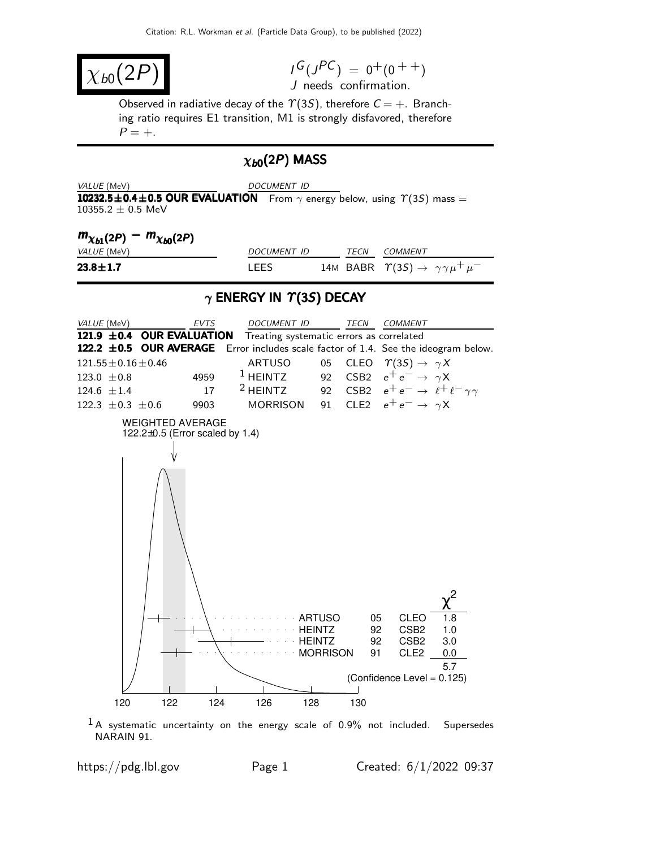$$
\chi_{b0}(2P)
$$

 $I^G(J^{PC}) = 0^+(0^{++})$ J needs confirmation.

Observed in radiative decay of the  $\Upsilon(3S)$ , therefore  $C = +$ . Branching ratio requires E1 transition, M1 is strongly disfavored, therefore  $P = +$ .

## $\chi_{b0}(2P)$  MASS

| VALUE (MeV)                                                                                                           | DOCUMENT ID |  |  |
|-----------------------------------------------------------------------------------------------------------------------|-------------|--|--|
| <b>10232.5±0.4±0.5 OUR EVALUATION</b> From $\gamma$ energy below, using $\gamma$ (3S) mass =<br>$10355.2 \pm 0.5$ MeV |             |  |  |

| $m_{\chi_{b1}(2P)} - m_{\chi_{b0}(2P)}$ |                    |      |                                                               |
|-----------------------------------------|--------------------|------|---------------------------------------------------------------|
| <i>VALUE</i> (MeV)                      | <i>DOCUMENT ID</i> | TECN | COMMENT                                                       |
| $23.8 \pm 1.7$                          | I FFS              |      | 14M BABR $\Upsilon(35) \rightarrow \gamma \gamma \mu^+ \mu^-$ |

### $\gamma$  ENERGY IN  $\Upsilon(3S)$  DECAY



 $1A$  systematic uncertainty on the energy scale of 0.9% not included. Supersedes NARAIN 91.

https://pdg.lbl.gov Page 1 Created:  $6/1/2022$  09:37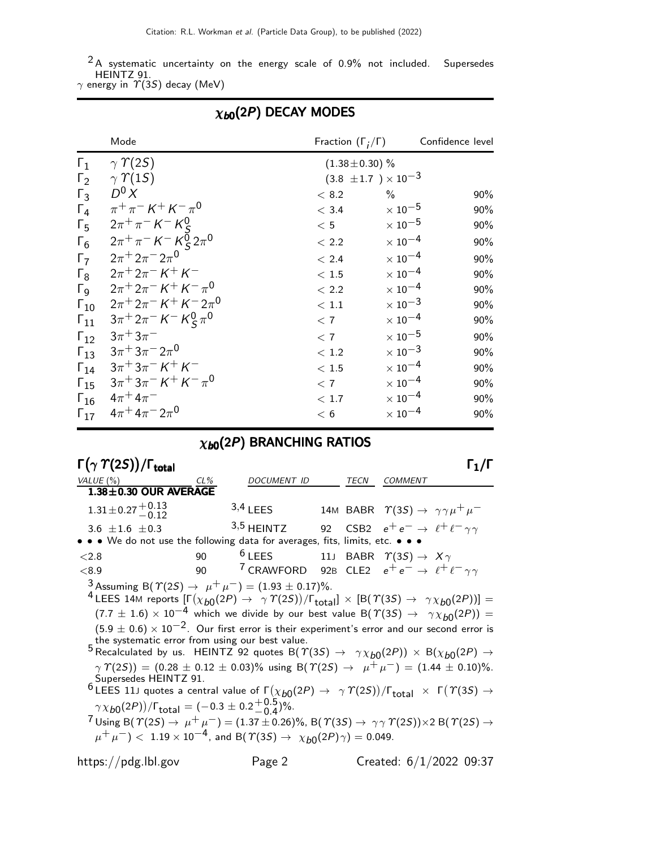$2$ A systematic uncertainty on the energy scale of 0.9% not included. Supersedes HEINTZ 91.

 $\gamma$  energy in  $\varUpsilon(3S)$  decay (MeV)

|                       | Mode                                                                    | Fraction $(\Gamma_i/\Gamma)$   |                           | Confidence level |
|-----------------------|-------------------------------------------------------------------------|--------------------------------|---------------------------|------------------|
| $\Gamma_1$            | $\gamma \Upsilon(2S)$                                                   | $(1.38 \pm 0.30)$ %            |                           |                  |
| $\Gamma_2$            | $\gamma$ $\gamma$ (15)                                                  | $(3.8 \pm 1.7) \times 10^{-3}$ |                           |                  |
| $\Gamma_3$            | $D^0 X$                                                                 | < 8.2                          | $\%$                      | $90\%$           |
| $\Gamma_4$            | $\pi^+ \pi^- K^+ K^- \pi^0$                                             | < 3.4                          | $\times$ 10 <sup>-5</sup> | 90%              |
| $\Gamma_5$            | $2\pi^{+}\pi^{-}$ K <sup>-</sup> K <sup>0</sup> <sub>S</sub>            | < 5                            | $\times$ 10 <sup>-5</sup> | 90%              |
| $\Gamma_6$            | $2\pi^{+}\pi^{-}$ K <sup>-</sup> K <sup>0</sup> <sub>S</sub> $2\pi^{0}$ | < 2.2                          | $\times$ 10 $^{-4}$       | 90%              |
| $\Gamma_7$            | $2\pi^+ 2\pi^- 2\pi^0$                                                  | < 2.4                          | $\times$ 10 <sup>-4</sup> | 90%              |
| $\Gamma_8$            | $2\pi + 2\pi - K + K$                                                   | < 1.5                          | $\times$ 10 $^{-4}$       | 90%              |
| $\Gamma_{\mathsf{Q}}$ | $2\pi + 2\pi - K + K - \pi^0$                                           | < 2.2                          | $\times$ 10 <sup>-4</sup> | 90%              |
| $\Gamma_{10}$         | $2\pi + 2\pi - K + K - 2\pi$ <sup>0</sup>                               | $<\,1.1$                       | $\times$ 10 <sup>-3</sup> | 90%              |
| $\Gamma_{11}$         | $3\pi^+ 2\pi^- K^- K^0_S \pi^0$                                         | < 7                            | $\times$ 10 <sup>-4</sup> | 90%              |
| $\Gamma_{12}$         | $3\pi + 3\pi$                                                           | < 7                            | $\times$ 10 $^{-5}$       | 90%              |
| $\Gamma_{13}$         | $3\pi + 3\pi - 2\pi^0$                                                  | < 1.2                          | $\times$ 10 $^{-3}$       | 90%              |
| $\Gamma_{14}$         | $3\pi + 3\pi - K + K$                                                   | < 1.5                          | $\times$ 10 $^{-4}$       | 90%              |
| $\Gamma_{15}$         | $3\pi + 3\pi - K + K - \pi^0$                                           | < 7                            | $\times$ 10 <sup>-4</sup> | 90%              |
| $\Gamma_{16}$         | $4\pi^{+}4\pi^{-}$                                                      | < 1.7                          | $\times$ 10 $^{-4}$       | 90%              |
| $\Gamma_{17}$         | $4\pi + 4\pi - 2\pi$ <sup>0</sup>                                       | < 6                            | $\times$ 10 <sup>-4</sup> | 90%              |

## $\chi_{b0}(2P)$  DECAY MODES

# $\chi_{b0}(2P)$  BRANCHING RATIOS

| $\Gamma(\gamma \Upsilon(2S))/\Gamma_{\rm total}$                                                                                                                                                                                                                                                                                                                                                                                                                                                                                                                                                                                                                                                                                                                                                                                                                                                                                                                                                                                                                                                                                                                                                                                                                                                                                       |        |                                                                              |      |                                                               | $\mathsf{\Gamma}_1/\mathsf{\Gamma}$ |
|----------------------------------------------------------------------------------------------------------------------------------------------------------------------------------------------------------------------------------------------------------------------------------------------------------------------------------------------------------------------------------------------------------------------------------------------------------------------------------------------------------------------------------------------------------------------------------------------------------------------------------------------------------------------------------------------------------------------------------------------------------------------------------------------------------------------------------------------------------------------------------------------------------------------------------------------------------------------------------------------------------------------------------------------------------------------------------------------------------------------------------------------------------------------------------------------------------------------------------------------------------------------------------------------------------------------------------------|--------|------------------------------------------------------------------------------|------|---------------------------------------------------------------|-------------------------------------|
| VALUE(%)                                                                                                                                                                                                                                                                                                                                                                                                                                                                                                                                                                                                                                                                                                                                                                                                                                                                                                                                                                                                                                                                                                                                                                                                                                                                                                                               | $CL\%$ | DOCUMENT ID                                                                  | TECN | <b>COMMENT</b>                                                |                                     |
| $1.38 \pm 0.30$ OUR AVERAGE                                                                                                                                                                                                                                                                                                                                                                                                                                                                                                                                                                                                                                                                                                                                                                                                                                                                                                                                                                                                                                                                                                                                                                                                                                                                                                            |        |                                                                              |      |                                                               |                                     |
| $1.31 \pm 0.27 \pm 0.13$                                                                                                                                                                                                                                                                                                                                                                                                                                                                                                                                                                                                                                                                                                                                                                                                                                                                                                                                                                                                                                                                                                                                                                                                                                                                                                               |        | $3,4$ LEES                                                                   |      | 14M BABR $\Upsilon(35) \rightarrow \gamma \gamma \mu^+ \mu^-$ |                                     |
| 3.6 $\pm 1.6 \pm 0.3$                                                                                                                                                                                                                                                                                                                                                                                                                                                                                                                                                                                                                                                                                                                                                                                                                                                                                                                                                                                                                                                                                                                                                                                                                                                                                                                  |        | $3,5$ HEINTZ                                                                 |      | 92 CSB2 $e^+e^- \rightarrow \ell^+ \ell^- \gamma \gamma$      |                                     |
| • • We do not use the following data for averages, fits, limits, etc. • • •                                                                                                                                                                                                                                                                                                                                                                                                                                                                                                                                                                                                                                                                                                                                                                                                                                                                                                                                                                                                                                                                                                                                                                                                                                                            |        |                                                                              |      |                                                               |                                     |
| ${<}2.8$                                                                                                                                                                                                                                                                                                                                                                                                                                                                                                                                                                                                                                                                                                                                                                                                                                                                                                                                                                                                                                                                                                                                                                                                                                                                                                                               | 90     | <sup>6</sup> LEES 11J BABR $\varUpsilon(3S) \rightarrow X\gamma$             |      |                                                               |                                     |
| < 8.9                                                                                                                                                                                                                                                                                                                                                                                                                                                                                                                                                                                                                                                                                                                                                                                                                                                                                                                                                                                                                                                                                                                                                                                                                                                                                                                                  | 90     | <sup>7</sup> CRAWFORD 92B CLE2 $e^+e^- \rightarrow \ell^+\ell^-\gamma\gamma$ |      |                                                               |                                     |
| 3 Assuming B( $\Upsilon(2S) \rightarrow \mu^+ \mu^-$ ) = (1.93 ± 0.17)%.<br><sup>4</sup> LEES 14M reports $[\Gamma(\chi_{b0}(2P) \to \gamma \Upsilon(2S))/\Gamma_{\text{total}}] \times [B(\Upsilon(3S) \to \gamma \chi_{b0}(2P))] =$<br>$(7.7 \pm 1.6) \times 10^{-4}$ which we divide by our best value B $(\Upsilon(35) \rightarrow \gamma \chi_{b0}(2P)) =$<br>$(5.9 \pm 0.6) \times 10^{-2}$ . Our first error is their experiment's error and our second error is<br>the systematic error from using our best value.<br>5 Recalculated by us. HEINTZ 92 quotes B( $\Upsilon(3S) \rightarrow \gamma \chi_{b0}(2P) \times B(\chi_{b0}(2P) \rightarrow$<br>$\gamma \Upsilon(25)$ = (0.28 ± 0.12 ± 0.03)% using B( $\Upsilon(25) \rightarrow \mu^+ \mu^-$ ) = (1.44 ± 0.10)%.<br>Supersedes HEINTZ 91.<br><sup>6</sup> LEES 11J quotes a central value of $\Gamma(\chi_{b0}(2P) \to \gamma \Upsilon(2S))/\Gamma_{\rm total} \times \Gamma(\Upsilon(3S) \to \Gamma_{\rm total}$<br>$\gamma \chi_{b0}(2P) / \Gamma_{\text{total}} = (-0.3 \pm 0.2 \frac{+0.5}{0.4})\%.$<br>$^{7}$ Using B( $\Upsilon(2S)$ → $\mu^+ \mu^-$ ) = (1.37 ± 0.26)%, B( $\Upsilon(3S)$ → $\gamma \gamma \Upsilon(2S)$ )×2 B( $\Upsilon(2S)$ →<br>$\mu^+ \mu^-$ ) < 1.19 × 10 <sup>-4</sup> , and B( $\Upsilon(35) \rightarrow \chi_{b0}(2P)\gamma$ ) = 0.049. |        |                                                                              |      |                                                               |                                     |
| https://pdg.lbl.gov                                                                                                                                                                                                                                                                                                                                                                                                                                                                                                                                                                                                                                                                                                                                                                                                                                                                                                                                                                                                                                                                                                                                                                                                                                                                                                                    |        | Page 2                                                                       |      |                                                               | Created: 6/1/2022 09:37             |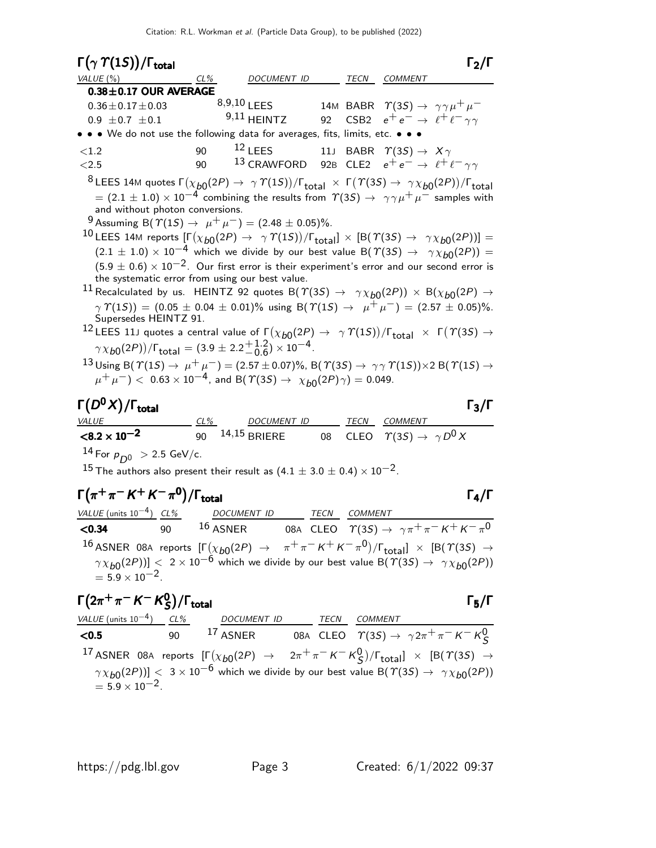| $\Gamma(\gamma \Upsilon(15))/\Gamma_{\text{total}}$                                                                                                                                                                                                                                                                                                                                                                      |            |                                |             |         | $\Gamma_2/\Gamma$                                                                                                                                                                                                                                                                                                                                                                                                                                                                                                                                                                                                                                                                                                                                                                                                                                                                                                                                                                                                                                                                                                                                                                                                                                                                                                             |
|--------------------------------------------------------------------------------------------------------------------------------------------------------------------------------------------------------------------------------------------------------------------------------------------------------------------------------------------------------------------------------------------------------------------------|------------|--------------------------------|-------------|---------|-------------------------------------------------------------------------------------------------------------------------------------------------------------------------------------------------------------------------------------------------------------------------------------------------------------------------------------------------------------------------------------------------------------------------------------------------------------------------------------------------------------------------------------------------------------------------------------------------------------------------------------------------------------------------------------------------------------------------------------------------------------------------------------------------------------------------------------------------------------------------------------------------------------------------------------------------------------------------------------------------------------------------------------------------------------------------------------------------------------------------------------------------------------------------------------------------------------------------------------------------------------------------------------------------------------------------------|
| VALUE (%)                                                                                                                                                                                                                                                                                                                                                                                                                | $CL\%$     | DOCUMENT ID                    |             |         | TECN COMMENT                                                                                                                                                                                                                                                                                                                                                                                                                                                                                                                                                                                                                                                                                                                                                                                                                                                                                                                                                                                                                                                                                                                                                                                                                                                                                                                  |
| $0.38 \pm 0.17$ OUR AVERAGE<br>$0.36 \pm 0.17 \pm 0.03$<br>$0.9 \pm 0.7 \pm 0.1$<br>• • • We do not use the following data for averages, fits, limits, etc. • • •                                                                                                                                                                                                                                                        |            | $8,9,10$ LEES<br>$9,11$ HEINTZ | 92          |         | 14M BABR $\Upsilon(35) \rightarrow \gamma \gamma \mu^+ \mu^-$<br>CSB2 $e^+e^- \rightarrow \ell^+ \ell^- \gamma \gamma$                                                                                                                                                                                                                                                                                                                                                                                                                                                                                                                                                                                                                                                                                                                                                                                                                                                                                                                                                                                                                                                                                                                                                                                                        |
| ${<}1.2$                                                                                                                                                                                                                                                                                                                                                                                                                 | 90         | $12$ LEES                      |             |         | 11J BABR $\Upsilon(3S) \rightarrow X\gamma$                                                                                                                                                                                                                                                                                                                                                                                                                                                                                                                                                                                                                                                                                                                                                                                                                                                                                                                                                                                                                                                                                                                                                                                                                                                                                   |
| ${<}2.5$                                                                                                                                                                                                                                                                                                                                                                                                                 | 90         | <sup>13</sup> CRAWFORD         |             |         | 92B CLE2 $e^+e^- \rightarrow \ell^+ \ell^- \gamma \gamma$                                                                                                                                                                                                                                                                                                                                                                                                                                                                                                                                                                                                                                                                                                                                                                                                                                                                                                                                                                                                                                                                                                                                                                                                                                                                     |
| and without photon conversions.<br><sup>9</sup> Assuming B( $\Upsilon(1S) \rightarrow \mu^+ \mu^-) = (2.48 \pm 0.05)\%$ .<br>the systematic error from using our best value.<br>Supersedes HEINTZ 91.<br>$\gamma \chi_{b0}(2P)$ / $\Gamma_{\text{total}} = (3.9 \pm 2.2 \frac{+1.2}{-0.6}) \times 10^{-4}$ .<br>$(\mu^+ \mu^-) < 0.63 \times 10^{-4}$ , and B( $\Upsilon(3S) \rightarrow \chi_{b0}(2P)\gamma) = 0.049$ . |            |                                |             |         | <sup>8</sup> LEES 14M quotes $\Gamma(\chi_{b0}(2P) \to \gamma \Upsilon(1S))/\Gamma_{\text{total}} \times \Gamma(\Upsilon(3S) \to \gamma \chi_{b0}(2P))/\Gamma_{\text{total}}$<br>$\tau=(2.1\pm1.0)\times10^{-4}$ combining the results from $\varUpsilon(3S)\to~\gamma\gamma\mu^+\mu^-$ samples with<br><sup>10</sup> LEES 14M reports $[\Gamma(\chi_{b0}(2P) \to \gamma \Upsilon(1S))/\Gamma_{\text{total}}] \times [B(\Upsilon(3S) \to \gamma \chi_{b0}(2P))] =$<br>$(2.1 \pm 1.0) \times 10^{-4}$ which we divide by our best value B( $\Upsilon(35) \rightarrow \gamma \chi_{b0}(2P)$ ) =<br>$(5.9 \pm 0.6) \times 10^{-2}$ . Our first error is their experiment's error and our second error is<br>$^{11}$ Recalculated by us. $\,$ HEINTZ 92 quotes B( $\varUpsilon(3S)$ $\,\rightarrow\,\,\,\gamma\chi_{b0}(2P))\,\times\,{\rm B}(\chi_{b0}(2P)\,\rightarrow\,$<br>$\gamma \Upsilon(15)$ = (0.05 ± 0.04 ± 0.01)% using B( $\Upsilon(15) \rightarrow \mu^+ \mu^-$ ) = (2.57 ± 0.05)%.<br>$^{12}$ LEES 11J quotes a central value of $\Gamma(\chi_{b0}(2P) \to ~\gamma \varUpsilon(1S))/\Gamma_{\rm total}~\times~\Gamma(\varUpsilon(3S) \to$<br>13 Using B( $\Upsilon(1S) \rightarrow \mu^+ \mu^-$ ) = (2.57 ± 0.07)%, B( $\Upsilon(3S) \rightarrow \gamma \gamma \Upsilon(1S) \times 2$ B( $\Upsilon(1S) \rightarrow$ |
| $\Gamma(D^0X)/\Gamma_{\rm total}$                                                                                                                                                                                                                                                                                                                                                                                        |            |                                |             |         | $\Gamma_3/\Gamma$                                                                                                                                                                                                                                                                                                                                                                                                                                                                                                                                                                                                                                                                                                                                                                                                                                                                                                                                                                                                                                                                                                                                                                                                                                                                                                             |
| <i>VALUE</i><br>$< 8.2 \times 10^{-2}$                                                                                                                                                                                                                                                                                                                                                                                   | CL%<br>90  | DOCUMENT ID<br>14,15 BRIERE    | 08          |         | TECN COMMENT<br>CLEO $\tau(3S) \rightarrow \gamma D^0 X$                                                                                                                                                                                                                                                                                                                                                                                                                                                                                                                                                                                                                                                                                                                                                                                                                                                                                                                                                                                                                                                                                                                                                                                                                                                                      |
|                                                                                                                                                                                                                                                                                                                                                                                                                          |            |                                |             |         |                                                                                                                                                                                                                                                                                                                                                                                                                                                                                                                                                                                                                                                                                                                                                                                                                                                                                                                                                                                                                                                                                                                                                                                                                                                                                                                               |
| $14$ For $p_{D^0} > 2.5$ GeV/c.<br>$^{15}$ The authors also present their result as (4.1 $\pm$ 3.0 $\pm$ 0.4) $\times$ 10 $^{-2}$ .                                                                                                                                                                                                                                                                                      |            |                                |             |         |                                                                                                                                                                                                                                                                                                                                                                                                                                                                                                                                                                                                                                                                                                                                                                                                                                                                                                                                                                                                                                                                                                                                                                                                                                                                                                                               |
| $\Gamma(\pi^+\pi^- K^+ K^-\pi^0)/\Gamma_{\rm total}$                                                                                                                                                                                                                                                                                                                                                                     |            |                                |             |         | $\Gamma_4/\Gamma$                                                                                                                                                                                                                                                                                                                                                                                                                                                                                                                                                                                                                                                                                                                                                                                                                                                                                                                                                                                                                                                                                                                                                                                                                                                                                                             |
| VALUE (units $10^{-4}$ ) CL%<br>< 0.34<br>90                                                                                                                                                                                                                                                                                                                                                                             | $16$ ASNER | DOCUMENT ID                    | <b>TECN</b> | COMMENT | 08A CLEO $\quad \  \  \gamma(3S) \rightarrow \ \gamma \pi^+ \pi^- \, \mathsf{K}^+ \, \mathsf{K}^- \, \pi^0$                                                                                                                                                                                                                                                                                                                                                                                                                                                                                                                                                                                                                                                                                                                                                                                                                                                                                                                                                                                                                                                                                                                                                                                                                   |
|                                                                                                                                                                                                                                                                                                                                                                                                                          |            |                                |             |         |                                                                                                                                                                                                                                                                                                                                                                                                                                                                                                                                                                                                                                                                                                                                                                                                                                                                                                                                                                                                                                                                                                                                                                                                                                                                                                                               |
|                                                                                                                                                                                                                                                                                                                                                                                                                          |            |                                |             |         | 16 ASNER 08A reports $[\Gamma(\chi_{b0}(2P) \rightarrow \pi^+\pi^-K^+K^-\pi^0)/\Gamma_{\rm total}]\times [B(\Upsilon(3S) \rightarrow$<br>$\left[\gamma\chi_{b0}(2P))\right]<~2\times10^{-6}$ which we divide by our best value B $(\varUpsilon(3S)\to~\gamma\chi_{b0}(2P))$                                                                                                                                                                                                                                                                                                                                                                                                                                                                                                                                                                                                                                                                                                                                                                                                                                                                                                                                                                                                                                                   |

 $= 5.9 \times 10^{-2}$ .

Γ 2π <sup>+</sup> π <sup>−</sup> K <sup>−</sup> K 0 S /Γtotal Γ5/Γ S/ΓtotalΓ5/Γ <sup>+</sup>−−0Stotal5 <sup>+</sup>−−0<sup>S</sup> Γ total <sup>5</sup> <sup>+</sup> <sup>−</sup> K <sup>−</sup> K<sup>0</sup> VALUE (units 10−4) CL% DOCUMENT ID TECN COMMENT <sup>&</sup>lt;0.<sup>5</sup> <sup>90</sup> <sup>17</sup> ASNER 08<sup>A</sup> CLEO <sup>Υ</sup>(3S) <sup>→</sup> <sup>γ</sup> <sup>2</sup>π<sup>+</sup> <sup>π</sup><sup>−</sup> <sup>K</sup><sup>−</sup> <sup>K</sup><sup>0</sup> S 17 ASNER 08<sup>A</sup> reports [Γ χb0 (2P) <sup>→</sup> <sup>2</sup>π<sup>+</sup> <sup>π</sup><sup>−</sup> <sup>K</sup><sup>−</sup> <sup>K</sup><sup>0</sup> S (2P))] <sup>&</sup>lt; <sup>3</sup> <sup>×</sup> <sup>10</sup>−<sup>6</sup> which we divide by our best value B(Υ(3S) <sup>→</sup> γ χb<sup>0</sup> (2P)) /Γtotal] <sup>×</sup> [B(Υ(3S) <sup>→</sup> γ χb0

 $= 5.9 \times 10^{-2}$ .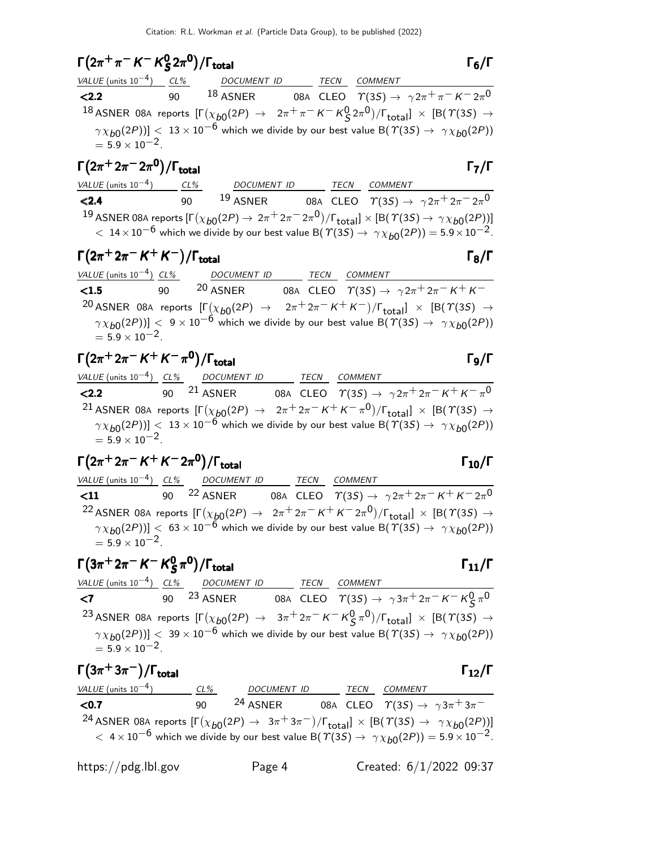### $\Gamma(2\pi^+\pi^- K^- K^0_S)$  $(2\pi^+\pi^- K^- K^0_S 2\pi^0)/\Gamma_{\text{total}}$  Γ<sub>6</sub>/Γ S  $\Gamma(2\pi^+\pi^- K^- K_S^0 2\pi^0)/\Gamma_{\text{total}}$  Γ<sub>6</sub>/Γ  $\zeta^{2\pi}$ // total intervalse to the set of  $\zeta^{16}$

| VALUE (units $10^{-4}$ ) CL%                    |     | DOCUMENT ID TECN |  | COMMENT                                                                                                                                 |
|-------------------------------------------------|-----|------------------|--|-----------------------------------------------------------------------------------------------------------------------------------------|
| < 2.2                                           | 90. | $^{18}$ ASNER    |  | 08A CLEO $\Upsilon(3S) \rightarrow \gamma 2\pi^+ \pi^- K^- 2\pi^0$                                                                      |
|                                                 |     |                  |  | <sup>18</sup> ASNER 08A reports $[\Gamma(\chi_{b0}(2P) \to 2\pi^+\pi^- K^- K^0_S 2\pi^0)/\Gamma_{\text{total}}] \times [B(T(3S) \to$    |
|                                                 |     |                  |  | $\gamma \chi_{b0}(2P))$ < 13 × 10 <sup>-6</sup> which we divide by our best value B( $\gamma$ (3S) $\rightarrow \gamma \chi_{b0}(2P)$ ) |
| $= 5.9 \times 10^{-2}$ .                        |     |                  |  |                                                                                                                                         |
| $\Gamma(2\pi^+2\pi^-2\pi^0)/\Gamma_{\rm total}$ |     |                  |  | $\Gamma_7/\Gamma$                                                                                                                       |

| VALUE (units $10^{-4}$ )                                                                                                                              | CL% | <b>DOCUMENT ID</b>                                                                                                               | TECN | <b>COMMENT</b> |                                                                 |
|-------------------------------------------------------------------------------------------------------------------------------------------------------|-----|----------------------------------------------------------------------------------------------------------------------------------|------|----------------|-----------------------------------------------------------------|
| < 2.4                                                                                                                                                 | 90. | $19$ ASNER                                                                                                                       |      |                | 08A CLEO $\Upsilon(3S) \rightarrow \gamma 2\pi^+ 2\pi^- 2\pi^0$ |
| $^{19}$ ASNER 08A reports $[\Gamma(\chi_{b0}(2P) \to 2\pi^+ 2\pi^- 2\pi^0)/\Gamma_{\rm total}]\times [{\rm B}(\Upsilon(3S) \to \gamma\chi_{b0}(2P))]$ |     |                                                                                                                                  |      |                |                                                                 |
|                                                                                                                                                       |     | $1.3 \times 10^{-6}$ which we divide by our best value B( $\Upsilon(3S) \rightarrow \gamma \chi_{b0}(2P) = 5.9 \times 10^{-2}$ . |      |                |                                                                 |

# $\Gamma(2\pi^+ 2\pi^- K^+ K^-)/\Gamma_{\text{total}}$

### VALUE (units 10<sup>-4</sup>) CL% DOCUMENT ID TECN COMMENT **<1.5** 90 20 ASNER 08A CLEO  $T(3S) \to \gamma 2\pi^+ 2\pi^- K^+ K^-$ <sup>20</sup> ASNER 08A reports  $[\Gamma(\chi_{b0}(2P) \rightarrow 2\pi^+ 2\pi^- K^+ K^-)]$  $\chi_{b0}(2P) \rightarrow 2\pi^+ 2\pi^- K^+ K^-)/\Gamma_{\rm total}] \times [B(\Upsilon(3S) \rightarrow$  $\left(\gamma \chi_{b0}(2P)\right)$  <  $9 \times 10^{-6}$  which we divide by our best value B( $\gamma$ (3S)  $\rightarrow \gamma \chi_{b0}(2P)$ )  $= 5.9 \times 10^{-2}$ .

### $\Gamma(2\pi^+ 2\pi^- K^+ K^- \pi^0)/\Gamma_{\text{total}}$  Γg/Γ total and the set of the set of the set of the set of the set of the set of the set of the set of the set of t

|                          | VALUE (units $10^{-4}$ ) CL% DOCUMENT ID | <b>TECN</b> | COMMENT                                                                                                                                    |
|--------------------------|------------------------------------------|-------------|--------------------------------------------------------------------------------------------------------------------------------------------|
| < 2.2                    | 90 <sup>21</sup> ASNER                   |             | 08A CLEO $\varUpsilon(3S) \rightarrow \gamma 2\pi^+ 2\pi^- K^+ K^- \pi^0$                                                                  |
|                          |                                          |             | <sup>21</sup> ASNER 08A reports $[\Gamma(\chi_{b0}(2P) \to 2\pi^+ 2\pi^- K^+ K^- \pi^0)/\Gamma_{\text{total}}] \times [B(\Upsilon(3S) \to$ |
|                          |                                          |             | $\gamma \chi_{b0}(2P))$ < 13 × 10 <sup>-6</sup> which we divide by our best value B( $\gamma$ (3S) $\rightarrow \gamma \chi_{b0}(2P)$ )    |
| $= 5.9 \times 10^{-2}$ . |                                          |             |                                                                                                                                            |

$$
\Gamma(2\pi^+ 2\pi^- K^+ K^- 2\pi^0)/\Gamma_{\text{total}}
$$

VALUE (units 10<sup>-4</sup>) CL% DOCUMENT ID TECN COMMENT  $11$  90 <sup>22</sup> ASNER 08A CLEO  $\Upsilon(3S) \rightarrow \gamma 2\pi^+ 2\pi^- K^+ K^- 2\pi$ 08A CLEO  $\overline{\gamma(3S) \rightarrow \gamma 2\pi^+ 2\pi^- K^+ K^- 2\pi^0}$  $^{22}$  ASNER 08A reports  $[\Gamma(\chi_{b0}(2P) \to -2\pi^+ 2\pi^- K^+ K^- 2\pi^0)/\Gamma_{\rm total}]\times[{\cal B}(\Upsilon(3S) \to$  $\gamma \chi_{b0}(2P))$ ] < 63 × 10<sup>-6</sup> which we divide by our best value B( $\gamma$ (3S) →  $\gamma \chi_{b0}(2P)$ )  $= 5.9 \times 10^{-2}$ .

### $\Gamma(3\pi^+ 2\pi^- K^- K^0_S)$  $\Gamma(3\pi^+ 2\pi^- K^- K^0_S \pi^0)/\Gamma_{\text{total}}$  Γ<sub>11</sub>/Γ  $(\pi^0)/\Gamma_{\rm total}$  11/ $\Gamma_{\rm 11}/\Gamma$

### VALUE (units 10<sup>-4</sup>) CL% DOCUMENT ID TECN COMMENT  $\le$ 7 90 <sup>23</sup> ASNER 08A CLEO  $\Upsilon(3S)$  →  $\gamma 3\pi^+ 2\pi^- K^- K^0_S \pi^0$  $^{23}$  ASNER 08A reports  $[\Gamma(\chi_{b0}(2P) \to 3\pi^+ 2\pi^- K^- K^0_S \pi^0)/\Gamma_{\rm total}]\times [B(\Upsilon(3S) \to$  $\left(\gamma \chi_{b0}(2P)\right)$  < 39  $\times$  10 $^{-6}$  which we divide by our best value B( $\Upsilon(3S) \rightarrow \gamma \chi_{b0}(2P)$ )  $= 5.9 \times 10^{-2}$

| $\Gamma(3\pi^+3\pi^-)/\Gamma_{\rm total}$                                                                                                          |     |                                                                                                                                      |             |         | $\Gamma_{12}/\Gamma$                                           |
|----------------------------------------------------------------------------------------------------------------------------------------------------|-----|--------------------------------------------------------------------------------------------------------------------------------------|-------------|---------|----------------------------------------------------------------|
| VALUE (units $10^{-4}$ )                                                                                                                           | CL% | DOCUMENT ID                                                                                                                          | <i>TECN</i> | COMMENT |                                                                |
| < 0.7                                                                                                                                              | ۹N  | <sup>24</sup> ASNER                                                                                                                  |             |         | 08A CLEO $\varUpsilon(3S) \to \, \gamma \, 3 \pi^+ \, 3 \pi^-$ |
| <sup>24</sup> ASNER 08A reports $[\Gamma(\chi_{b0}(2P) \to 3\pi^+3\pi^-)/\Gamma_{\text{total}}] \times [B(\Upsilon(3S) \to \gamma \chi_{b0}(2P))]$ |     |                                                                                                                                      |             |         |                                                                |
|                                                                                                                                                    |     | $< 4 \times 10^{-6}$ which we divide by our best value B( $\Upsilon(35) \rightarrow \gamma \chi_{b0}(2P)$ ) = 5.9 $\times 10^{-2}$ . |             |         |                                                                |
|                                                                                                                                                    |     |                                                                                                                                      |             |         |                                                                |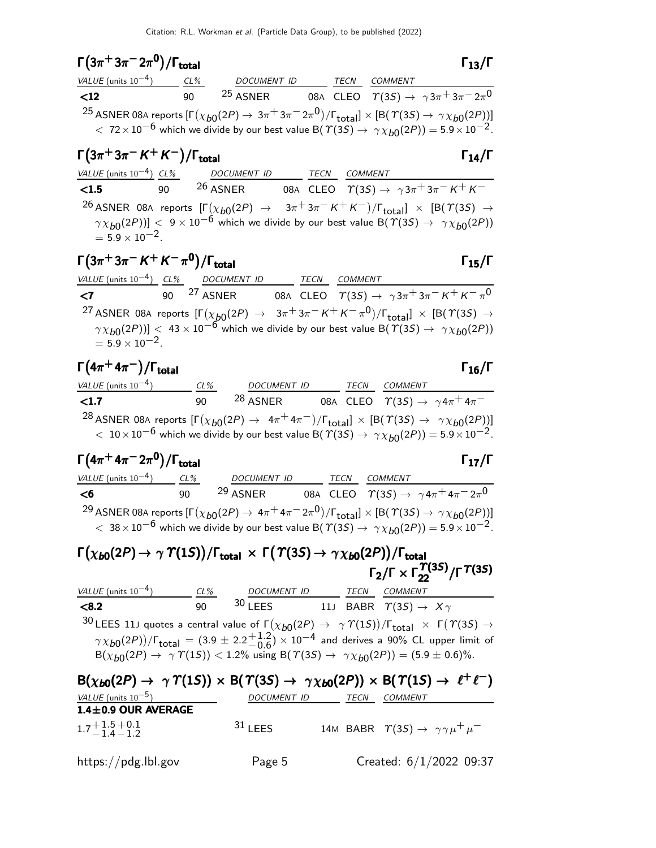| $\Gamma\big(3\pi^+3\pi^-2\pi^0\big)/\Gamma_{\rm total}$ | 13 |
|---------------------------------------------------------|----|
|                                                         |    |

| $\Gamma(3\pi^+3\pi^-2\pi^0)/\Gamma_{\rm total}$                                                                                                     |              |                                                                                                                                              |      |                | $\Gamma_{13}/\Gamma$                                                           |
|-----------------------------------------------------------------------------------------------------------------------------------------------------|--------------|----------------------------------------------------------------------------------------------------------------------------------------------|------|----------------|--------------------------------------------------------------------------------|
| VALUE (units $10^{-4}$ )                                                                                                                            | CL%          | <b>DOCUMENT ID</b>                                                                                                                           | TECN | <b>COMMENT</b> |                                                                                |
| $\langle$ 12                                                                                                                                        | $90^{\circ}$ | <sup>25</sup> ASNER                                                                                                                          |      |                | 08A CLEO $\quad \  \  \gamma(3S) \rightarrow \ \gamma 3 \pi^+ 3 \pi^- 2 \pi^0$ |
| <sup>25</sup> ASNER 08A reports $[\Gamma(\chi_{b0}(2P) \to 3\pi^+3\pi^-2\pi^0)/\Gamma_{\rm total}]\times [B(\Upsilon(3S) \to \gamma\chi_{b0}(2P))]$ |              |                                                                                                                                              |      |                |                                                                                |
|                                                                                                                                                     |              | $\tau$ $< 72 \times 10^{-6}$ which we divide by our best value B( $\Upsilon(35) \rightarrow \gamma \chi_{b0}(2P)$ ) = 5.9 $\times 10^{-2}$ . |      |                |                                                                                |

# $\Gamma(3\pi^+3\pi^- K^+ K^-)/\Gamma_{\text{total}}$  Γ<sub>14</sub>/Γ

## VALUE (units 10<sup>-4</sup>) CL% DOCUMENT ID TECN COMMENT<br> **<1.5** 90 26 ASNER 08A CLEO  $\gamma$ (3S) →  $\overline{\text{1.5}}$  90 26 ASNER 08A CLEO  $T(3S) \rightarrow \gamma 3\pi^+ 3\pi^- K^+ K^ ^{26}$  ASNER 08A reports  $[\Gamma(\chi_{b0}(2P) \rightarrow 3\pi + 3\pi - K + K^-)/\Gamma_{\rm total}] \times [B(\Upsilon(3S) \rightarrow$  $\left(\gamma \chi_{b0}(2P)\right)$  <  $9 \times 10^{-6}$  which we divide by our best value B( $\gamma$ (3S)  $\rightarrow \gamma \chi_{b0}(2P)$ )  $= 5.9 \times 10^{-2}$ .

# $\Gamma(3\pi^+3\pi^- K^+ K^-\pi^0)/\Gamma_{\text{total}}$  Γ<sub>15</sub>/Γ

### VALUE (units  $10^{-4}$ ) CL% DOCUMENT ID TECN COMMENT  $\le$ **7** 90 <sup>27</sup> ASNER 08A CLEO  $\gamma$ (3*S*) →  $\gamma$ 3 $\pi$ <sup>+</sup>3 $\pi$ <sup>-</sup>K<sup>+</sup>K<sup>-</sup> $\pi$ 08A CLEO  $\overline{\gamma(3S)} \rightarrow \gamma 3\pi^+ 3\pi^- K^+ K^- \pi^0$  $^{27}$  ASNER 08A reports  $[\Gamma(\chi_{b0}(2P) \to~~3\pi^+3\pi^- \,K^+ \,K^-\, \pi^0)/\Gamma_{\rm total}]\,\times\,[{\rm B}(\, \Upsilon(3S) \to~\,$  $\left(\gamma \chi_{b0}(2P)\right)$  < 43  $\times$  10<sup>-6</sup> which we divide by our best value B( $\gamma$ (3S)  $\rightarrow$   $\gamma \chi_{b0}(2P)$ )  $= 5.9 \times 10^{-2}$ .

### $\Gamma(4\pi^+ 4\pi^-)/\Gamma_{\rm total}$  Γ<sub>16</sub>/Γ )/Γ<sub>total</sub> Γ $_1$ 6/Γ

| VALUE (units $10^{-4}$ )                                                                                                                            | CL% | <b>DOCUMENT ID</b>  | TECN | <b>COMMENT</b>                                           |  |
|-----------------------------------------------------------------------------------------------------------------------------------------------------|-----|---------------------|------|----------------------------------------------------------|--|
| $\langle 1.7$                                                                                                                                       | 90  | <sup>28</sup> ASNER |      | 08A CLEO $\Upsilon(35) \rightarrow \gamma 4\pi^+ 4\pi^-$ |  |
| <sup>28</sup> ASNER 08A reports $[\Gamma(\chi_{b0}(2P) \to 4\pi^+ 4\pi^-)/\Gamma_{\text{total}}] \times [B(\Upsilon(3S) \to \gamma \chi_{b0}(2P))]$ |     |                     |      |                                                          |  |
| $10 \times 10^{-6}$ which we divide by our best value B( $\Upsilon(35) \rightarrow \gamma \chi_{b0}(2P)$ ) = 5.9 $\times 10^{-2}$ .                 |     |                     |      |                                                          |  |

| $\Gamma(4\pi^+4\pi^-2\pi^0)/\Gamma_{\rm total}$                                                                                                            |        |                     |  |      | $\Gamma_{17}/\Gamma$                                                                                                                  |  |  |
|------------------------------------------------------------------------------------------------------------------------------------------------------------|--------|---------------------|--|------|---------------------------------------------------------------------------------------------------------------------------------------|--|--|
| <i>VALUE</i> (units $10^{-4}$ )                                                                                                                            | $CL\%$ | <b>DOCUMENT ID</b>  |  | TECN | COMMENT                                                                                                                               |  |  |
| <6                                                                                                                                                         | 90     | <sup>29</sup> ASNER |  |      | 08A CLEO $\quad \  \  \gamma(3S) \rightarrow \ \gamma 4 \pi^+ 4 \pi^- 2 \pi^0$                                                        |  |  |
| <sup>29</sup> ASNER 08A reports $[\Gamma(\chi_{b0}(2P) \to 4\pi^+ 4\pi^- 2\pi^0)/\Gamma_{\text{total}}] \times [B(\Upsilon(3S) \to \gamma \chi_{b0}(2P))]$ |        |                     |  |      |                                                                                                                                       |  |  |
|                                                                                                                                                            |        |                     |  |      | $< 38 \times 10^{-6}$ which we divide by our best value B( $\Upsilon(3S) \rightarrow \gamma \chi_{b0}(2P)$ ) = 5.9 $\times 10^{-2}$ . |  |  |

### $\Gamma\big(\chi_{b0}(2P)\to \gamma\;\mathcal{T}(1S)\big)/\Gamma_{\rm total}\;\times\; \Gamma\big(\;\mathcal{T}(3S)\to \gamma\,\chi_{b0}(2P)\big)/\Gamma_{\rm total}$ Γ $_2$ /Γ  $\times$  Γ $\frac{\varUpsilon(3S)}{22}$ /Γ $\varUpsilon(3S)$  $\lambda_{\rm 200}(2P) \rightarrow \gamma \varUpsilon(1S)) / \Gamma_{\rm total} \, \times \, \Gamma\big(\varUpsilon(3S) \rightarrow \gamma \chi_{b0}(2P)\big) / \Gamma_{\rm total}$  $\Gamma_2/\Gamma \times \Gamma_{22}^{\Upsilon(3S)}/\Gamma^{\Upsilon(3S)}$  $\Gamma(\chi_{b0}(2P) \to \gamma \varUpsilon(1S))/\Gamma_{\rm total} \; \times \; \Gamma(\varUpsilon(3S) \to \gamma \chi_{b0}(2P))/\Gamma_{\rm tot}$ <br>Γ<sub>2</sub>/Γ × Γ  $\Upsilon(3S)$  $\chi_{b0}(2P) \to \gamma \varUpsilon(1S)) / \Gamma_{\text{total}} \, \times \, \Gamma\big(\varUpsilon(3S) \to \gamma \chi_{b0}(2P)\big) / \Gamma_{\text{total}} \ \Gamma_2 / \Gamma \times \Gamma_{22}^{\varUpsilon(3S)} / \Gamma^{\varUpsilon(3S)}$  $_{2}/$ Γ  $\times$  Γ $_{22}^{^\mathcal{T(3S)}}$ /Γ $^\mathcal{T(3S)}$

| VALUE (units $10^{-4}$ ) | $CL\%$ | <b>DOCUMENT ID</b> | TECN | COMMENT                                                                                                                                                |
|--------------------------|--------|--------------------|------|--------------------------------------------------------------------------------------------------------------------------------------------------------|
| < 8.2                    | 90     | $30$ I FFS         |      | 11J BABR $\Upsilon(35) \rightarrow X\gamma$                                                                                                            |
|                          |        |                    |      | 30 LEES 11J quotes a central value of $\Gamma(\chi_{b0}(2P) \to \gamma \Upsilon(1S))/\Gamma_{\text{total}} \times \Gamma(\Upsilon(3S) \to \mathbb{R})$ |
|                          |        |                    |      | $\gamma \chi_{b0}(2P)$ / $\Gamma_{\text{total}} = (3.9 \pm 2.2 \frac{+1.2}{-0.6}) \times 10^{-4}$ and derives a 90% CL upper limit of                  |
|                          |        |                    |      | $B(\chi_{b0}(2P) \to \gamma \Upsilon(15))$ < 1.2% using B( $\Upsilon(3S) \to \gamma \chi_{b0}(2P)$ ) = (5.9 ± 0.6)%.                                   |

| $B(\chi_{b0}(2P) \rightarrow \gamma \Upsilon(1S)) \times B(\Upsilon(3S) \rightarrow \gamma \chi_{b0}(2P)) \times B(\Upsilon(1S) \rightarrow \ell^+ \ell^-)$ |             |      |                                                               |
|-------------------------------------------------------------------------------------------------------------------------------------------------------------|-------------|------|---------------------------------------------------------------|
| VALUE (units $10^{-5}$ )                                                                                                                                    | DOCUMENT ID | TECN | <i>COMMENT</i>                                                |
| $1.4 \pm 0.9$ OUR AVERAGE<br>$1.7 + 1.5 + 0.1$<br>$-1.4 - 1.2$                                                                                              | $31$ LEES   |      | 14M BABR $\Upsilon(35) \rightarrow \gamma \gamma \mu^+ \mu^-$ |
| https://pdg.lbl.gov                                                                                                                                         | Page 5      |      | Created: $6/1/2022$ 09:37                                     |